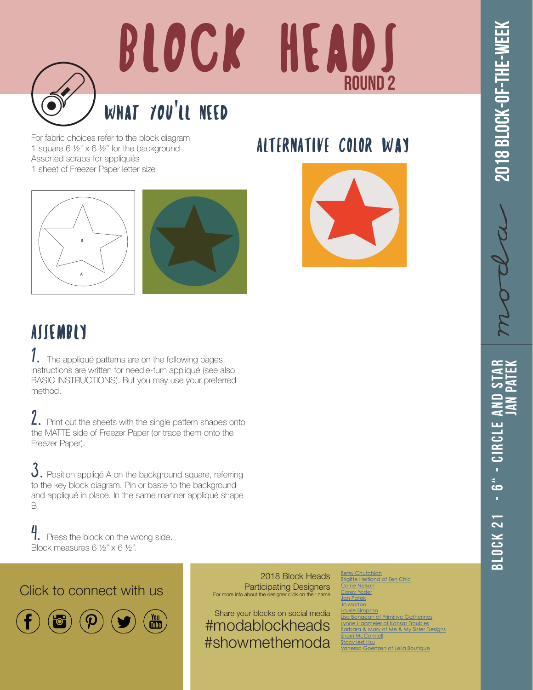

## BLOCK HEADS ROUND 2

## What You'll Need

For fabric choices refer to the block diagram 1 square 6 ½" x 6 ½" for the background Assorted scraps for appliqués 1 sheet of Freezer Paper letter size

ALTERNATIVE COLOR WAY





## ASSEMBLY

 $1.$  The appliqué patterns are on the following pages. Instructions are written for needle-turn appliqué (see also BASIC INSTRUCTIONS). But you may use your preferred method.

2. Print out the sheets with the single pattern shapes onto the MATTE side of Freezer Paper (or trace them onto the Freezer Paper).

 $3.$  Position appliqé A on the background square, referring to the key block diagram. Pin or baste to the background and appliqué in place. In the same manner appliqué shape B.

4. Press the block on the wrong side. Block measures 6 ½" x 6 ½".

Click to connect with us



2018 Block Heads Participating Designers For more info about the designer click on their name

Share your blocks on social media #modablockheads #showmethemoda

**[Betsy Chutchian](http://betsysbestquiltsandmore.blogspot.de)** rigitte Heitland of [Carrie Nelson](http://blog.modafabrics.com/) *<u>rev</u>* Yoder an Patek o Morton rie Simpson **Bongean of Primitive Gatherings** <u>ynne Hagmeier of Kansas Troubles</u> arbara & Mary of Me & My Sister Designs [Sherri McConnell](http://www.aquiltinglife.com) [Stacy Iest Hsu](https://www.stacyiesthsu.com) [Vanessa Goertzen of Lella Boutique](https://www.instagram.com/lellaboutique/)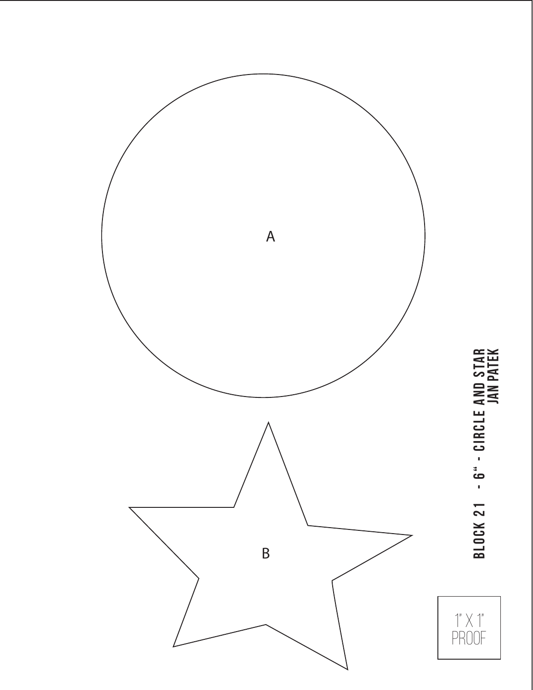

Block 21 - 6" - Circle and Star **BLOCK 21 - 6" - CIRCLE AND STAR**<br>JAN PATEK